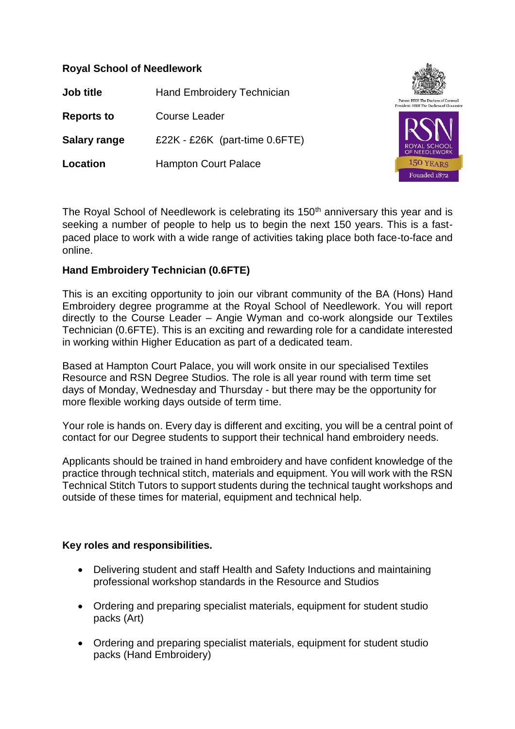## **Royal School of Needlework**

**Job title** Hand Embroidery Technician **Reports to** Course Leader **Salary range** £22K - £26K (part-time 0.6FTE) **Location** Hampton Court Palace



The Royal School of Needlework is celebrating its 150<sup>th</sup> anniversary this year and is seeking a number of people to help us to begin the next 150 years. This is a fastpaced place to work with a wide range of activities taking place both face-to-face and online.

## **Hand Embroidery Technician (0.6FTE)**

This is an exciting opportunity to join our vibrant community of the BA (Hons) Hand Embroidery degree programme at the Royal School of Needlework. You will report directly to the Course Leader – Angie Wyman and co-work alongside our Textiles Technician (0.6FTE). This is an exciting and rewarding role for a candidate interested in working within Higher Education as part of a dedicated team.

Based at Hampton Court Palace, you will work onsite in our specialised Textiles Resource and RSN Degree Studios. The role is all year round with term time set days of Monday, Wednesday and Thursday - but there may be the opportunity for more flexible working days outside of term time.

Your role is hands on. Every day is different and exciting, you will be a central point of contact for our Degree students to support their technical hand embroidery needs.

Applicants should be trained in hand embroidery and have confident knowledge of the practice through technical stitch, materials and equipment. You will work with the RSN Technical Stitch Tutors to support students during the technical taught workshops and outside of these times for material, equipment and technical help.

## **Key roles and responsibilities.**

- Delivering student and staff Health and Safety Inductions and maintaining professional workshop standards in the Resource and Studios
- Ordering and preparing specialist materials, equipment for student studio packs (Art)
- Ordering and preparing specialist materials, equipment for student studio packs (Hand Embroidery)